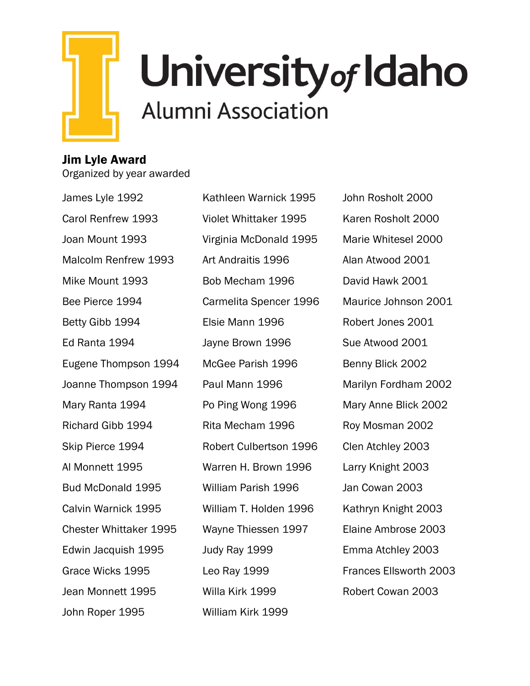

## Jim Lyle Award

Organized by year awarded

James Lyle 1992 Carol Renfrew 1993 Joan Mount 1993 Malcolm Renfrew 1993 Mike Mount 1993 Bee Pierce 1994 Betty Gibb 1994 Ed Ranta 1994 Eugene Thompson 1994 Joanne Thompson 1994 Mary Ranta 1994 Richard Gibb 1994 Skip Pierce 1994 Al Monnett 1995 Bud McDonald 1995 Calvin Warnick 1995 Chester Whittaker 1995 Edwin Jacquish 1995 Grace Wicks 1995 Jean Monnett 1995 John Roper 1995

Kathleen Warnick 1995 Violet Whittaker 1995 Virginia McDonald 1995 Art Andraitis 1996 Bob Mecham 1996 Carmelita Spencer 1996 Elsie Mann 1996 Jayne Brown 1996 McGee Parish 1996 Paul Mann 1996 Po Ping Wong 1996 Rita Mecham 1996 Robert Culbertson 1996 Warren H. Brown 1996 William Parish 1996 William T. Holden 1996 Wayne Thiessen 1997 Judy Ray 1999 Leo Ray 1999 Willa Kirk 1999 William Kirk 1999

John Rosholt 2000 Karen Rosholt 2000 Marie Whitesel 2000 Alan Atwood 2001 David Hawk 2001 Maurice Johnson 2001 Robert Jones 2001 Sue Atwood 2001 Benny Blick 2002 Marilyn Fordham 2002 Mary Anne Blick 2002 Roy Mosman 2002 Clen Atchley 2003 Larry Knight 2003 Jan Cowan 2003 Kathryn Knight 2003 Elaine Ambrose 2003 Emma Atchley 2003 Frances Ellsworth 2003 Robert Cowan 2003